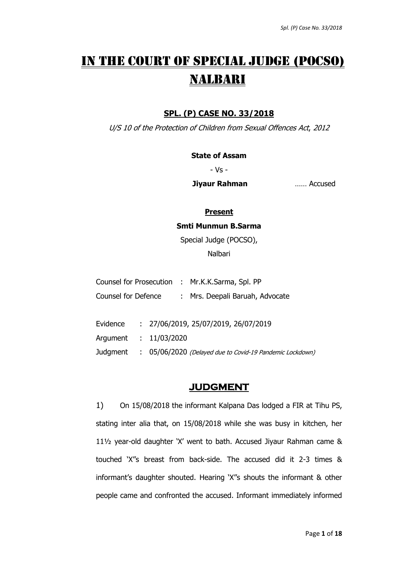# IN THE COURT OF SPECIAL JUDGE (POCSO) NALBARI

## **SPL. (P) CASE NO. 33/2018**

U/S 10 of the Protection of Children from Sexual Offences Act, 2012

**State of Assam**

- Vs -

**Jiyaur Rahman** …… Accused

#### **Present**

**Smti Munmun B.Sarma**

Special Judge (POCSO),

Nalbari

|                     |              | Counsel for Prosecution : Mr.K.K.Sarma, Spl. PP          |
|---------------------|--------------|----------------------------------------------------------|
| Counsel for Defence |              | : Mrs. Deepali Baruah, Advocate                          |
| Evidence            |              | : 27/06/2019, 25/07/2019, 26/07/2019                     |
| Argument            | : 11/03/2020 |                                                          |
| Judgment            |              | : 05/06/2020 (Delayed due to Covid-19 Pandemic Lockdown) |

## **JUDGMENT**

1) On 15/08/2018 the informant Kalpana Das lodged a FIR at Tihu PS, stating inter alia that, on 15/08/2018 while she was busy in kitchen, her 11½ year-old daughter 'X' went to bath. Accused Jiyaur Rahman came & touched 'X''s breast from back-side. The accused did it 2-3 times & informant's daughter shouted. Hearing 'X''s shouts the informant & other people came and confronted the accused. Informant immediately informed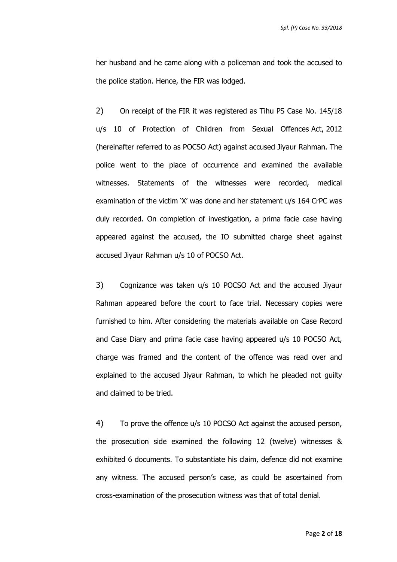her husband and he came along with a policeman and took the accused to the police station. Hence, the FIR was lodged.

2) On receipt of the FIR it was registered as Tihu PS Case No. 145/18 u/s 10 of Protection of Children from Sexual Offences Act, 2012 (hereinafter referred to as POCSO Act) against accused Jiyaur Rahman. The police went to the place of occurrence and examined the available witnesses. Statements of the witnesses were recorded, medical examination of the victim 'X' was done and her statement u/s 164 CrPC was duly recorded. On completion of investigation, a prima facie case having appeared against the accused, the IO submitted charge sheet against accused Jiyaur Rahman u/s 10 of POCSO Act.

3) Cognizance was taken u/s 10 POCSO Act and the accused Jiyaur Rahman appeared before the court to face trial. Necessary copies were furnished to him. After considering the materials available on Case Record and Case Diary and prima facie case having appeared u/s 10 POCSO Act, charge was framed and the content of the offence was read over and explained to the accused Jiyaur Rahman, to which he pleaded not guilty and claimed to be tried.

4) To prove the offence u/s 10 POCSO Act against the accused person, the prosecution side examined the following 12 (twelve) witnesses & exhibited 6 documents. To substantiate his claim, defence did not examine any witness. The accused person's case, as could be ascertained from cross-examination of the prosecution witness was that of total denial.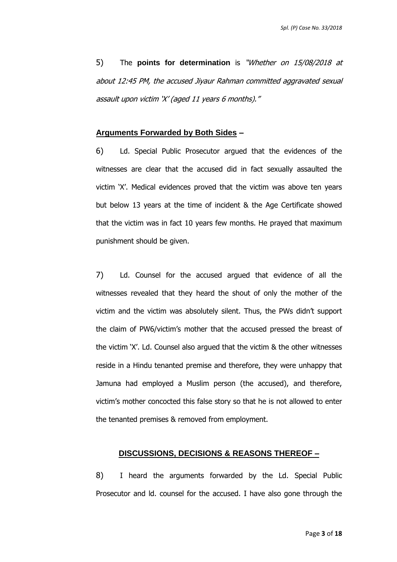5) The **points for determination** is "Whether on 15/08/2018 at about 12:45 PM, the accused Jiyaur Rahman committed aggravated sexual assault upon victim 'X' (aged 11 years 6 months)."

#### **Arguments Forwarded by Both Sides –**

6) Ld. Special Public Prosecutor argued that the evidences of the witnesses are clear that the accused did in fact sexually assaulted the victim 'X'. Medical evidences proved that the victim was above ten years but below 13 years at the time of incident & the Age Certificate showed that the victim was in fact 10 years few months. He prayed that maximum punishment should be given.

7) Ld. Counsel for the accused argued that evidence of all the witnesses revealed that they heard the shout of only the mother of the victim and the victim was absolutely silent. Thus, the PWs didn't support the claim of PW6/victim's mother that the accused pressed the breast of the victim 'X'. Ld. Counsel also argued that the victim & the other witnesses reside in a Hindu tenanted premise and therefore, they were unhappy that Jamuna had employed a Muslim person (the accused), and therefore, victim's mother concocted this false story so that he is not allowed to enter the tenanted premises & removed from employment.

#### **DISCUSSIONS, DECISIONS & REASONS THEREOF –**

8) I heard the arguments forwarded by the Ld. Special Public Prosecutor and ld. counsel for the accused. I have also gone through the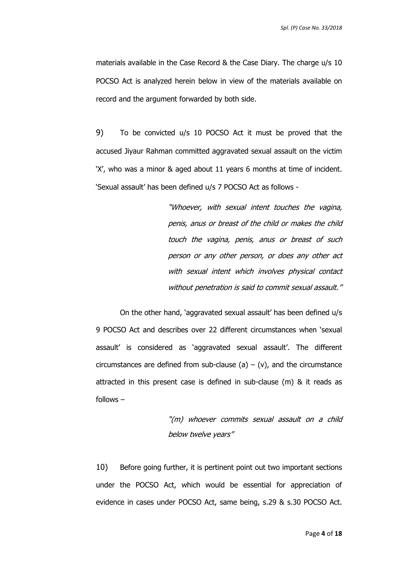materials available in the Case Record & the Case Diary. The charge u/s 10 POCSO Act is analyzed herein below in view of the materials available on record and the argument forwarded by both side.

9) To be convicted u/s 10 POCSO Act it must be proved that the accused Jiyaur Rahman committed aggravated sexual assault on the victim 'X', who was a minor & aged about 11 years 6 months at time of incident. 'Sexual assault' has been defined u/s 7 POCSO Act as follows -

> "Whoever, with sexual intent touches the vagina, penis, anus or breast of the child or makes the child touch the vagina, penis, anus or breast of such person or any other person, or does any other act with sexual intent which involves physical contact without penetration is said to commit sexual assault."

On the other hand, 'aggravated sexual assault' has been defined u/s 9 POCSO Act and describes over 22 different circumstances when 'sexual assault' is considered as 'aggravated sexual assault'. The different circumstances are defined from sub-clause (a) – (v), and the circumstance attracted in this present case is defined in sub-clause (m) & it reads as follows –

> "(m) whoever commits sexual assault on a child below twelve years"

10) Before going further, it is pertinent point out two important sections under the POCSO Act, which would be essential for appreciation of evidence in cases under POCSO Act, same being, s.29 & s.30 POCSO Act.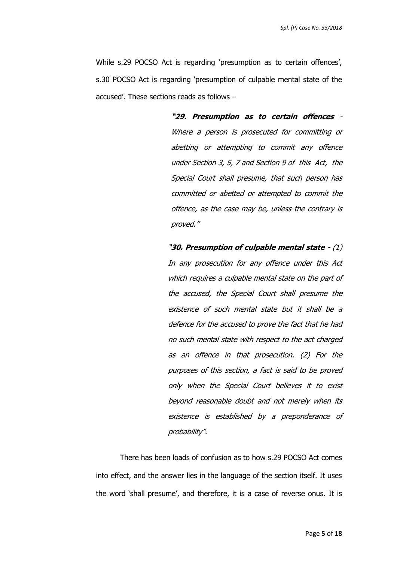While s.29 POCSO Act is regarding 'presumption as to certain offences', s.30 POCSO Act is regarding 'presumption of culpable mental state of the accused'. These sections reads as follows –

> **"29. Presumption as to certain offences** - Where a person is prosecuted for committing or abetting or attempting to commit any offence under Section 3, 5, 7 and Section 9 of this Act, the Special Court shall presume, that such person has committed or abetted or attempted to commit the offence, as the case may be, unless the contrary is proved."

"**30. Presumption of culpable mental state** - (1) In any prosecution for any offence under this Act which requires a culpable mental state on the part of the accused, the Special Court shall presume the existence of such mental state but it shall be a defence for the accused to prove the fact that he had no such mental state with respect to the act charged as an offence in that prosecution. (2) For the purposes of this section, a fact is said to be proved only when the Special Court believes it to exist beyond reasonable doubt and not merely when its existence is established by a preponderance of probability".

There has been loads of confusion as to how s.29 POCSO Act comes into effect, and the answer lies in the language of the section itself. It uses the word 'shall presume', and therefore, it is a case of reverse onus. It is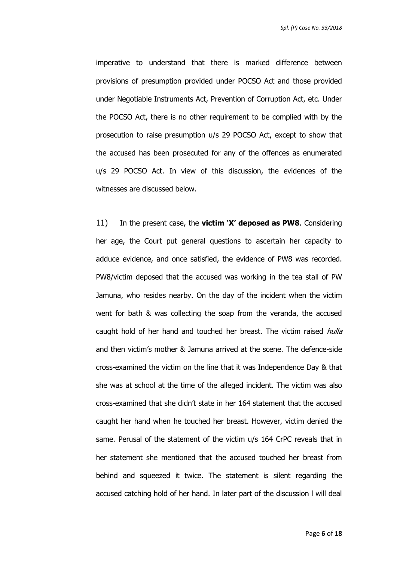imperative to understand that there is marked difference between provisions of presumption provided under POCSO Act and those provided under Negotiable Instruments Act, Prevention of Corruption Act, etc. Under the POCSO Act, there is no other requirement to be complied with by the prosecution to raise presumption u/s 29 POCSO Act, except to show that the accused has been prosecuted for any of the offences as enumerated u/s 29 POCSO Act. In view of this discussion, the evidences of the witnesses are discussed below.

11) In the present case, the **victim 'X' deposed as PW8**. Considering her age, the Court put general questions to ascertain her capacity to adduce evidence, and once satisfied, the evidence of PW8 was recorded. PW8/victim deposed that the accused was working in the tea stall of PW Jamuna, who resides nearby. On the day of the incident when the victim went for bath & was collecting the soap from the veranda, the accused caught hold of her hand and touched her breast. The victim raised hulla and then victim's mother & Jamuna arrived at the scene. The defence-side cross-examined the victim on the line that it was Independence Day & that she was at school at the time of the alleged incident. The victim was also cross-examined that she didn't state in her 164 statement that the accused caught her hand when he touched her breast. However, victim denied the same. Perusal of the statement of the victim u/s 164 CrPC reveals that in her statement she mentioned that the accused touched her breast from behind and squeezed it twice. The statement is silent regarding the accused catching hold of her hand. In later part of the discussion l will deal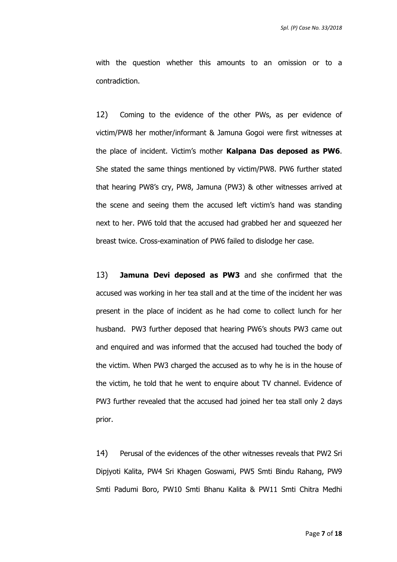with the question whether this amounts to an omission or to a contradiction.

12) Coming to the evidence of the other PWs, as per evidence of victim/PW8 her mother/informant & Jamuna Gogoi were first witnesses at the place of incident. Victim's mother **Kalpana Das deposed as PW6**. She stated the same things mentioned by victim/PW8. PW6 further stated that hearing PW8's cry, PW8, Jamuna (PW3) & other witnesses arrived at the scene and seeing them the accused left victim's hand was standing next to her. PW6 told that the accused had grabbed her and squeezed her breast twice. Cross-examination of PW6 failed to dislodge her case.

13) **Jamuna Devi deposed as PW3** and she confirmed that the accused was working in her tea stall and at the time of the incident her was present in the place of incident as he had come to collect lunch for her husband. PW3 further deposed that hearing PW6's shouts PW3 came out and enquired and was informed that the accused had touched the body of the victim. When PW3 charged the accused as to why he is in the house of the victim, he told that he went to enquire about TV channel. Evidence of PW3 further revealed that the accused had joined her tea stall only 2 days prior.

14) Perusal of the evidences of the other witnesses reveals that PW2 Sri Dipjyoti Kalita, PW4 Sri Khagen Goswami, PW5 Smti Bindu Rahang, PW9 Smti Padumi Boro, PW10 Smti Bhanu Kalita & PW11 Smti Chitra Medhi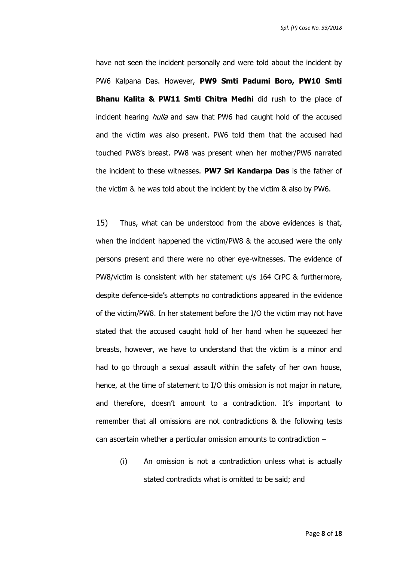have not seen the incident personally and were told about the incident by PW6 Kalpana Das. However, **PW9 Smti Padumi Boro, PW10 Smti Bhanu Kalita & PW11 Smti Chitra Medhi** did rush to the place of incident hearing *hulla* and saw that PW6 had caught hold of the accused and the victim was also present. PW6 told them that the accused had touched PW8's breast. PW8 was present when her mother/PW6 narrated the incident to these witnesses. **PW7 Sri Kandarpa Das** is the father of the victim & he was told about the incident by the victim & also by PW6.

15) Thus, what can be understood from the above evidences is that, when the incident happened the victim/PW8 & the accused were the only persons present and there were no other eye-witnesses. The evidence of PW8/victim is consistent with her statement u/s 164 CrPC & furthermore, despite defence-side's attempts no contradictions appeared in the evidence of the victim/PW8. In her statement before the I/O the victim may not have stated that the accused caught hold of her hand when he squeezed her breasts, however, we have to understand that the victim is a minor and had to go through a sexual assault within the safety of her own house, hence, at the time of statement to I/O this omission is not major in nature, and therefore, doesn't amount to a contradiction. It's important to remember that all omissions are not contradictions & the following tests can ascertain whether a particular omission amounts to contradiction –

(i) An omission is not a contradiction unless what is actually stated contradicts what is omitted to be said; and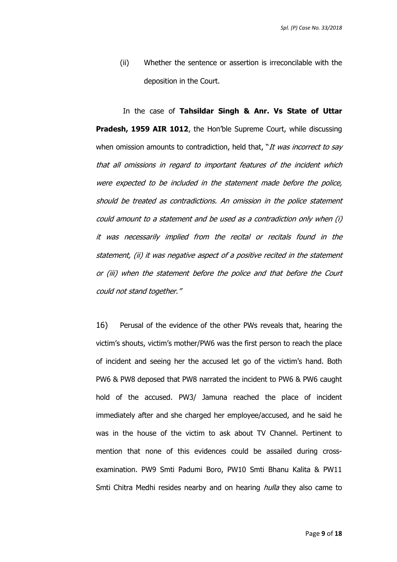(ii) Whether the sentence or assertion is irreconcilable with the deposition in the Court.

In the case of **Tahsildar Singh & Anr. Vs State of Uttar Pradesh, 1959 AIR 1012**, the Hon'ble Supreme Court, while discussing when omission amounts to contradiction, held that, "It was incorrect to say that all omissions in regard to important features of the incident which were expected to be included in the statement made before the police, should be treated as contradictions. An omission in the police statement could amount to <sup>a</sup> statement and be used as a contradiction only when (i) it was necessarily implied from the recital or recitals found in the statement, (ii) it was negative aspect of a positive recited in the statement or (iii) when the statement before the police and that before the Court could not stand together."

16) Perusal of the evidence of the other PWs reveals that, hearing the victim's shouts, victim's mother/PW6 was the first person to reach the place of incident and seeing her the accused let go of the victim's hand. Both PW6 & PW8 deposed that PW8 narrated the incident to PW6 & PW6 caught hold of the accused. PW3/ Jamuna reached the place of incident immediately after and she charged her employee/accused, and he said he was in the house of the victim to ask about TV Channel. Pertinent to mention that none of this evidences could be assailed during crossexamination. PW9 Smti Padumi Boro, PW10 Smti Bhanu Kalita & PW11 Smti Chitra Medhi resides nearby and on hearing *hulla* they also came to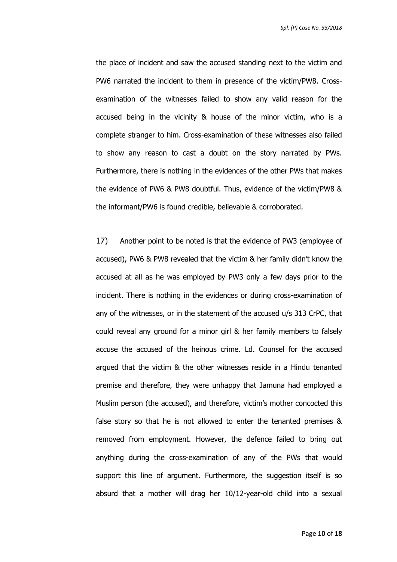the place of incident and saw the accused standing next to the victim and PW6 narrated the incident to them in presence of the victim/PW8. Crossexamination of the witnesses failed to show any valid reason for the accused being in the vicinity & house of the minor victim, who is a complete stranger to him. Cross-examination of these witnesses also failed to show any reason to cast a doubt on the story narrated by PWs. Furthermore, there is nothing in the evidences of the other PWs that makes the evidence of PW6 & PW8 doubtful. Thus, evidence of the victim/PW8 & the informant/PW6 is found credible, believable & corroborated.

17) Another point to be noted is that the evidence of PW3 (employee of accused), PW6 & PW8 revealed that the victim & her family didn't know the accused at all as he was employed by PW3 only a few days prior to the incident. There is nothing in the evidences or during cross-examination of any of the witnesses, or in the statement of the accused u/s 313 CrPC, that could reveal any ground for a minor girl & her family members to falsely accuse the accused of the heinous crime. Ld. Counsel for the accused argued that the victim & the other witnesses reside in a Hindu tenanted premise and therefore, they were unhappy that Jamuna had employed a Muslim person (the accused), and therefore, victim's mother concocted this false story so that he is not allowed to enter the tenanted premises & removed from employment. However, the defence failed to bring out anything during the cross-examination of any of the PWs that would support this line of argument. Furthermore, the suggestion itself is so absurd that a mother will drag her 10/12-year-old child into a sexual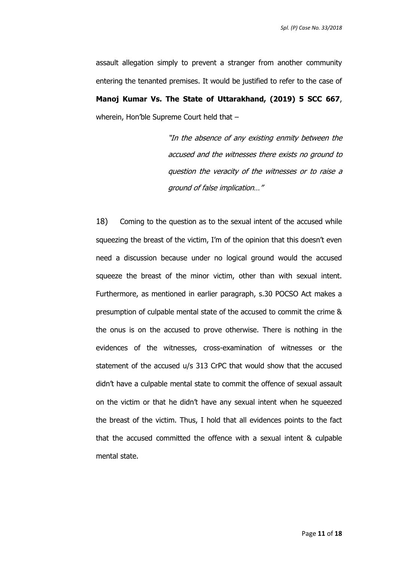assault allegation simply to prevent a stranger from another community entering the tenanted premises. It would be justified to refer to the case of **Manoj Kumar Vs. The State of Uttarakhand, (2019) 5 SCC 667**, wherein, Hon'ble Supreme Court held that –

> "In the absence of any existing enmity between the accused and the witnesses there exists no ground to question the veracity of the witnesses or to raise a ground of false implication…"

18) Coming to the question as to the sexual intent of the accused while squeezing the breast of the victim, I'm of the opinion that this doesn't even need a discussion because under no logical ground would the accused squeeze the breast of the minor victim, other than with sexual intent. Furthermore, as mentioned in earlier paragraph, s.30 POCSO Act makes a presumption of culpable mental state of the accused to commit the crime & the onus is on the accused to prove otherwise. There is nothing in the evidences of the witnesses, cross-examination of witnesses or the statement of the accused u/s 313 CrPC that would show that the accused didn't have a culpable mental state to commit the offence of sexual assault on the victim or that he didn't have any sexual intent when he squeezed the breast of the victim. Thus, I hold that all evidences points to the fact that the accused committed the offence with a sexual intent & culpable mental state.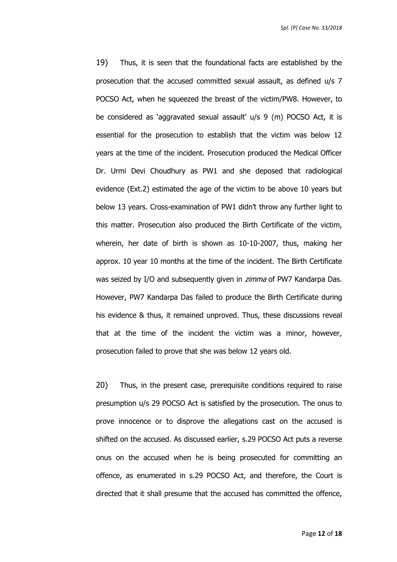19) Thus, it is seen that the foundational facts are established by the prosecution that the accused committed sexual assault, as defined u/s 7 POCSO Act, when he squeezed the breast of the victim/PW8. However, to be considered as 'aggravated sexual assault' u/s 9 (m) POCSO Act, it is essential for the prosecution to establish that the victim was below 12 years at the time of the incident. Prosecution produced the Medical Officer Dr. Urmi Devi Choudhury as PW1 and she deposed that radiological evidence (Ext.2) estimated the age of the victim to be above 10 years but below 13 years. Cross-examination of PW1 didn't throw any further light to this matter. Prosecution also produced the Birth Certificate of the victim, wherein, her date of birth is shown as 10-10-2007, thus, making her approx. 10 year 10 months at the time of the incident. The Birth Certificate was seized by I/O and subsequently given in *zimma* of PW7 Kandarpa Das. However, PW7 Kandarpa Das failed to produce the Birth Certificate during his evidence & thus, it remained unproved. Thus, these discussions reveal that at the time of the incident the victim was a minor, however, prosecution failed to prove that she was below 12 years old.

20) Thus, in the present case, prerequisite conditions required to raise presumption u/s 29 POCSO Act is satisfied by the prosecution. The onus to prove innocence or to disprove the allegations cast on the accused is shifted on the accused. As discussed earlier, s.29 POCSO Act puts a reverse onus on the accused when he is being prosecuted for committing an offence, as enumerated in s.29 POCSO Act, and therefore, the Court is directed that it shall presume that the accused has committed the offence,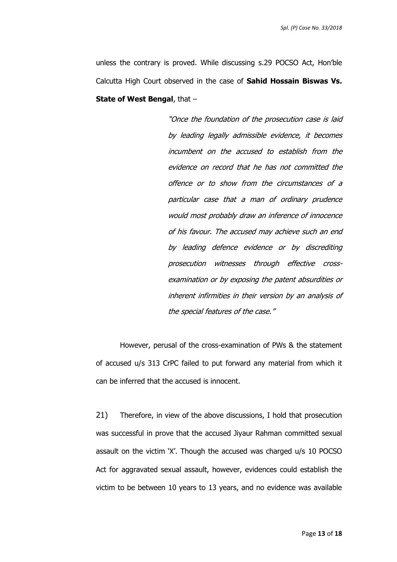unless the contrary is proved. While discussing s.29 POCSO Act, Hon'ble Calcutta High Court observed in the case of **Sahid Hossain Biswas Vs. State of West Bengal**, that –

> "Once the foundation of the prosecution case is laid by leading legally admissible evidence, it becomes incumbent on the accused to establish from the evidence on record that he has not committed the offence or to show from the circumstances of a particular case that a man of ordinary prudence would most probably draw an inference of innocence of his favour. The accused may achieve such an end by leading defence evidence or by discrediting prosecution witnesses through effective crossexamination or by exposing the patent absurdities or inherent infirmities in their version by an analysis of the special features of the case."

However, perusal of the cross-examination of PWs & the statement of accused u/s 313 CrPC failed to put forward any material from which it can be inferred that the accused is innocent.

21) Therefore, in view of the above discussions, I hold that prosecution was successful in prove that the accused Jiyaur Rahman committed sexual assault on the victim 'X'. Though the accused was charged u/s 10 POCSO Act for aggravated sexual assault, however, evidences could establish the victim to be between 10 years to 13 years, and no evidence was available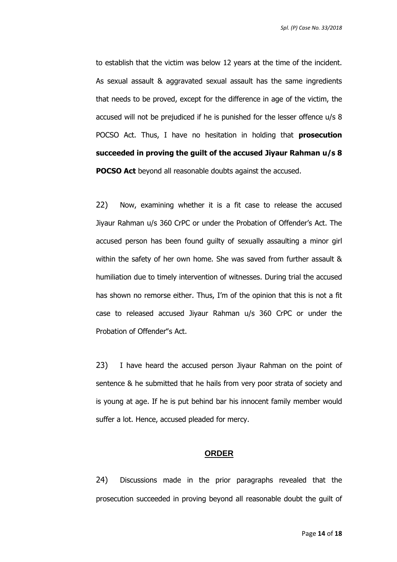to establish that the victim was below 12 years at the time of the incident. As sexual assault & aggravated sexual assault has the same ingredients that needs to be proved, except for the difference in age of the victim, the accused will not be prejudiced if he is punished for the lesser offence u/s 8 POCSO Act. Thus, I have no hesitation in holding that **prosecution succeeded in proving the guilt of the accused Jiyaur Rahman u/s 8 POCSO Act** beyond all reasonable doubts against the accused.

22) Now, examining whether it is a fit case to release the accused Jiyaur Rahman u/s 360 CrPC or under the Probation of Offender's Act. The accused person has been found guilty of sexually assaulting a minor girl within the safety of her own home. She was saved from further assault & humiliation due to timely intervention of witnesses. During trial the accused has shown no remorse either. Thus, I'm of the opinion that this is not a fit case to released accused Jiyaur Rahman u/s 360 CrPC or under the Probation of Offender"s Act.

23) I have heard the accused person Jiyaur Rahman on the point of sentence & he submitted that he hails from very poor strata of society and is young at age. If he is put behind bar his innocent family member would suffer a lot. Hence, accused pleaded for mercy.

#### **ORDER**

24) Discussions made in the prior paragraphs revealed that the prosecution succeeded in proving beyond all reasonable doubt the guilt of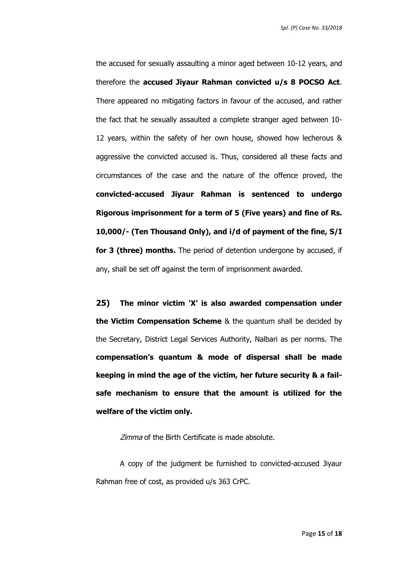the accused for sexually assaulting a minor aged between 10-12 years, and therefore the **accused Jiyaur Rahman convicted u/s 8 POCSO Act**. There appeared no mitigating factors in favour of the accused, and rather the fact that he sexually assaulted a complete stranger aged between 10- 12 years, within the safety of her own house, showed how lecherous & aggressive the convicted accused is. Thus, considered all these facts and circumstances of the case and the nature of the offence proved, the **convicted-accused Jiyaur Rahman is sentenced to undergo Rigorous imprisonment for a term of 5 (Five years) and fine of Rs. 10,000/- (Ten Thousand Only), and i/d of payment of the fine, S/I for 3 (three) months.** The period of detention undergone by accused, if any, shall be set off against the term of imprisonment awarded.

**25) The minor victim 'X' is also awarded compensation under the Victim Compensation Scheme** & the quantum shall be decided by the Secretary, District Legal Services Authority, Nalbari as per norms. The **compensation's quantum & mode of dispersal shall be made keeping in mind the age of the victim, her future security & a failsafe mechanism to ensure that the amount is utilized for the welfare of the victim only.**

Zimma of the Birth Certificate is made absolute.

A copy of the judgment be furnished to convicted-accused Jiyaur Rahman free of cost, as provided u/s 363 CrPC.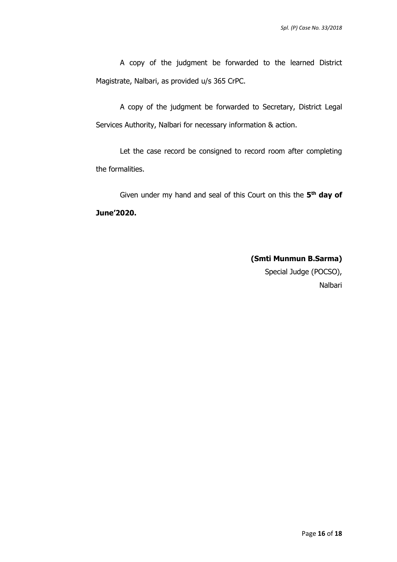A copy of the judgment be forwarded to the learned District Magistrate, Nalbari, as provided u/s 365 CrPC.

A copy of the judgment be forwarded to Secretary, District Legal Services Authority, Nalbari for necessary information & action.

Let the case record be consigned to record room after completing the formalities.

Given under my hand and seal of this Court on this the 5<sup>th</sup> day of **June'2020.** 

> **(Smti Munmun B.Sarma)** Special Judge (POCSO), Nalbari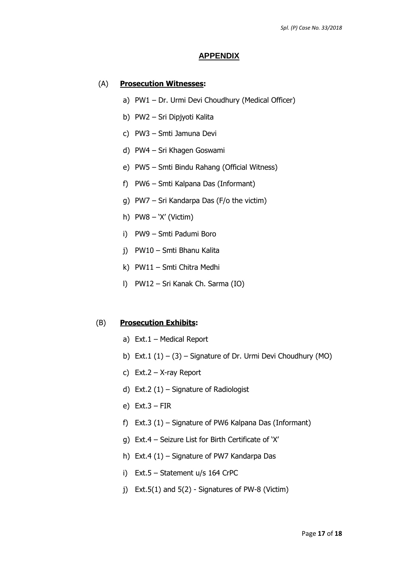#### **APPENDIX**

#### (A) **Prosecution Witnesses:**

- a) PW1 Dr. Urmi Devi Choudhury (Medical Officer)
- b) PW2 Sri Dipjyoti Kalita
- c) PW3 Smti Jamuna Devi
- d) PW4 Sri Khagen Goswami
- e) PW5 Smti Bindu Rahang (Official Witness)
- f) PW6 Smti Kalpana Das (Informant)
- g) PW7 Sri Kandarpa Das (F/o the victim)
- h) PW8 'X' (Victim)
- i) PW9 Smti Padumi Boro
- j) PW10 Smti Bhanu Kalita
- k) PW11 Smti Chitra Medhi
- l) PW12 Sri Kanak Ch. Sarma (IO)

#### (B) **Prosecution Exhibits:**

- a) Ext.1 Medical Report
- b) Ext.1  $(1) (3)$  Signature of Dr. Urmi Devi Choudhury (MO)
- c) Ext.2 X-ray Report
- d) Ext.2 (1) Signature of Radiologist
- e) Ext.3 FIR
- f) Ext.3 (1) Signature of PW6 Kalpana Das (Informant)
- g) Ext.4 Seizure List for Birth Certificate of 'X'
- h) Ext.4 (1) Signature of PW7 Kandarpa Das
- i) Ext.5 Statement u/s 164 CrPC
- j) Ext.5(1) and 5(2) Signatures of PW-8 (Victim)